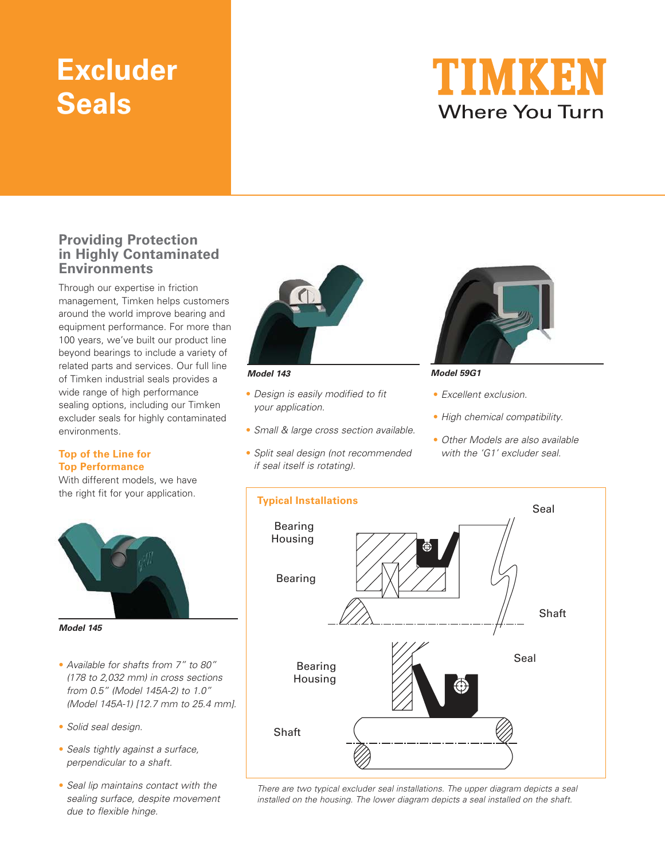# **Excluder Seals**



### **Providing Protection in Highly Contaminated Environments**

Through our expertise in friction management, Timken helps customers around the world improve bearing and equipment performance. For more than 100 years, we've built our product line beyond bearings to include a variety of related parts and services. Our full line of Timken industrial seals provides a wide range of high performance sealing options, including our Timken excluder seals for highly contaminated environments.

#### **Top of the Line for Top Performance**

With different models, we have the right fit for your application.



**Model 145**

- Available for shafts from 7" to 80" (178 to 2,032 mm) in cross sections from 0.5" (Model 145A-2) to 1.0" (Model 145A-1) [12.7 mm to 25.4 mm].
- Solid seal design.
- Seals tightly against a surface, perpendicular to a shaft.
- Seal lip maintains contact with the sealing surface, despite movement due to flexible hinge.



- Design is easily modified to fit your application.
- Small & large cross section available.
- Split seal design (not recommended if seal itself is rotating).



#### **Model 143 Model 59G1**

- Excellent exclusion.
- High chemical compatibility.
- Other Models are also available with the 'G1' excluder seal.



There are two typical excluder seal installations. The upper diagram depicts a seal installed on the housing. The lower diagram depicts a seal installed on the shaft.